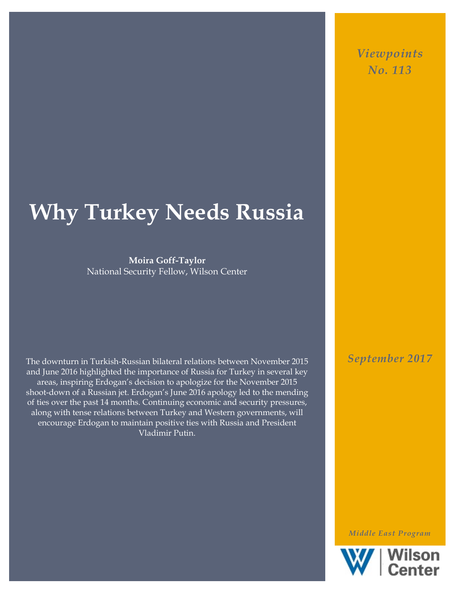# **Why Turkey Needs Russia**

**Moira Goff-Taylor** National Security Fellow, Wilson Center

The downturn in Turkish-Russian bilateral relations between November 2015 and June 2016 highlighted the importance of Russia for Turkey in several key areas, inspiring Erdogan's decision to apologize for the November 2015 shoot-down of a Russian jet. Erdogan's June 2016 apology led to the mending of ties over the past 14 months. Continuing economic and security pressures, along with tense relations between Turkey and Western governments, will encourage Erdogan to maintain positive ties with Russia and President Vladimir Putin.

*September 2017*

*Middle East Program*



*Viewpoints No. 113*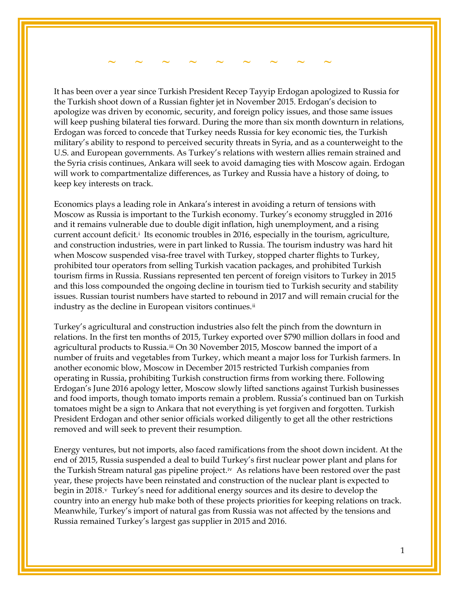### *~* **~ ~ ~ ~ ~ ~ ~ ~ ~**

It has been over a year since Turkish President Recep Tayyip Erdogan apologized to Russia for the Turkish shoot down of a Russian fighter jet in November 2015. Erdogan's decision to apologize was driven by economic, security, and foreign policy issues, and those same issues will keep pushing bilateral ties forward. During the more than six month downturn in relations, Erdogan was forced to concede that Turkey needs Russia for key economic ties, the Turkish military's ability to respond to perceived security threats in Syria, and as a counterweight to the U.S. and European governments. As Turkey's relations with western allies remain strained and the Syria crisis continues, Ankara will seek to avoid damaging ties with Moscow again. Erdogan will work to compartmentalize differences, as Turkey and Russia have a history of doing, to keep key interests on track.

Economics plays a leading role in Ankara's interest in avoiding a return of tensions with Moscow as Russia is important to the Turkish economy. Turkey's economy struggled in 2016 and it remains vulnerable due to double digit inflation, high unemployment, and a rising current account def[i](#page-3-0)cit.<sup>i</sup> Its economic troubles in 2016, especially in the tourism, agriculture, and construction industries, were in part linked to Russia. The tourism industry was hard hit when Moscow suspended visa-free travel with Turkey, stopped charter flights to Turkey, prohibited tour operators from selling Turkish vacation packages, and prohibited Turkish tourism firms in Russia. Russians represented ten percent of foreign visitors to Turkey in 2015 and this loss compounded the ongoing decline in tourism tied to Turkish security and stability issues. Russian tourist numbers have started to rebound in 2017 and will remain crucial for the industry as the decline in European visitors continues.<sup>ii</sup>

Turkey's agricultural and construction industries also felt the pinch from the downturn in relations. In the first ten months of 2015, Turkey exported over \$790 million dollars in food and agricultural products to Russia.[iii](#page-3-2) On 30 November 2015, Moscow banned the import of a number of fruits and vegetables from Turkey, which meant a major loss for Turkish farmers. In another economic blow, Moscow in December 2015 restricted Turkish companies from operating in Russia, prohibiting Turkish construction firms from working there. Following Erdogan's June 2016 apology letter, Moscow slowly lifted sanctions against Turkish businesses and food imports, though tomato imports remain a problem. Russia's continued ban on Turkish tomatoes might be a sign to Ankara that not everything is yet forgiven and forgotten. Turkish President Erdogan and other senior officials worked diligently to get all the other restrictions removed and will seek to prevent their resumption.

Energy ventures, but not imports, also faced ramifications from the shoot down incident. At the end of 2015, Russia suspended a deal to build Turkey's first nuclear power plant and plans for the Turkish Stream natural gas pipeline project.<sup>iv</sup> As relations have been restored over the past year, these projects have been reinstated and construction of the nuclear plant is expected to begin in 2018.<sup>v</sup> Turkey's need for additional energy sources and its desire to develop the country into an energy hub make both of these projects priorities for keeping relations on track. Meanwhile, Turkey's import of natural gas from Russia was not affected by the tensions and Russia remained Turkey's largest gas supplier in 2015 and 2016.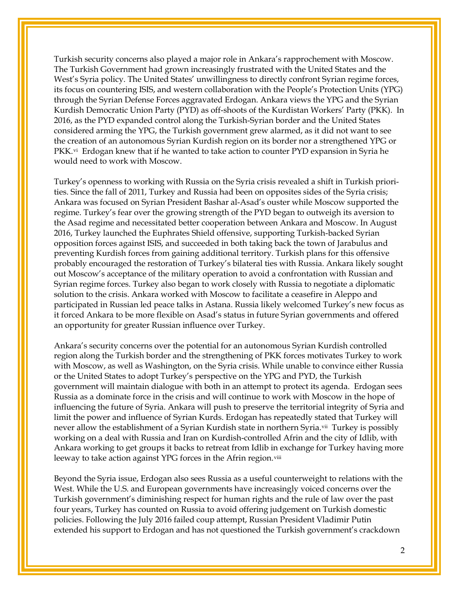Turkish security concerns also played a major role in Ankara's rapprochement with Moscow. The Turkish Government had grown increasingly frustrated with the United States and the West's Syria policy. The United States' unwillingness to directly confront Syrian regime forces, its focus on countering ISIS, and western collaboration with the People's Protection Units (YPG) through the Syrian Defense Forces aggravated Erdogan. Ankara views the YPG and the Syrian Kurdish Democratic Union Party (PYD) as off-shoots of the Kurdistan Workers' Party (PKK). In 2016, as the PYD expanded control along the Turkish-Syrian border and the United States considered arming the YPG, the Turkish government grew alarmed, as it did not want to see the creation of an autonomous Syrian Kurdish region on its border nor a strengthened YPG or  $PKK<sub>v</sub>$ <sup>i</sup> Erdogan knew that if he wanted to take action to counter PYD expansion in Syria he would need to work with Moscow.

Turkey's openness to working with Russia on the Syria crisis revealed a shift in Turkish priorities. Since the fall of 2011, Turkey and Russia had been on opposites sides of the Syria crisis; Ankara was focused on Syrian President Bashar al-Asad's ouster while Moscow supported the regime. Turkey's fear over the growing strength of the PYD began to outweigh its aversion to the Asad regime and necessitated better cooperation between Ankara and Moscow. In August 2016, Turkey launched the Euphrates Shield offensive, supporting Turkish-backed Syrian opposition forces against ISIS, and succeeded in both taking back the town of Jarabulus and preventing Kurdish forces from gaining additional territory. Turkish plans for this offensive probably encouraged the restoration of Turkey's bilateral ties with Russia. Ankara likely sought out Moscow's acceptance of the military operation to avoid a confrontation with Russian and Syrian regime forces. Turkey also began to work closely with Russia to negotiate a diplomatic solution to the crisis. Ankara worked with Moscow to facilitate a ceasefire in Aleppo and participated in Russian led peace talks in Astana. Russia likely welcomed Turkey's new focus as it forced Ankara to be more flexible on Asad's status in future Syrian governments and offered an opportunity for greater Russian influence over Turkey.

Ankara's security concerns over the potential for an autonomous Syrian Kurdish controlled region along the Turkish border and the strengthening of PKK forces motivates Turkey to work with Moscow, as well as Washington, on the Syria crisis. While unable to convince either Russia or the United States to adopt Turkey's perspective on the YPG and PYD, the Turkish government will maintain dialogue with both in an attempt to protect its agenda. Erdogan sees Russia as a dominate force in the crisis and will continue to work with Moscow in the hope of influencing the future of Syria. Ankara will push to preserve the territorial integrity of Syria and limit the power and influence of Syrian Kurds. Erdogan has repeatedly stated that Turkey will never allow the establishment of a Syrian Kurdish state in northern Syria.<sup>[vii](#page-3-6)</sup> Turkey is possibly working on a deal with Russia and Iran on Kurdish-controlled Afrin and the city of Idlib, with Ankara working to get groups it backs to retreat from Idlib in exchange for Turkey having more leeway to take action against YPG forces in the Afrin region.<sup>[viii](#page-3-7)</sup>

Beyond the Syria issue, Erdogan also sees Russia as a useful counterweight to relations with the West. While the U.S. and European governments have increasingly voiced concerns over the Turkish government's diminishing respect for human rights and the rule of law over the past four years, Turkey has counted on Russia to avoid offering judgement on Turkish domestic policies. Following the July 2016 failed coup attempt, Russian President Vladimir Putin extended his support to Erdogan and has not questioned the Turkish government's crackdown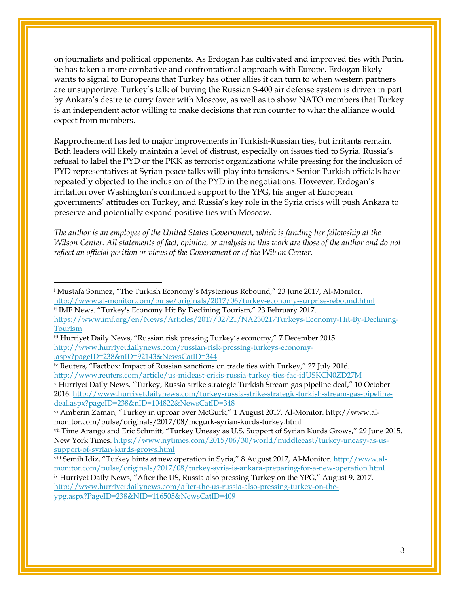on journalists and political opponents. As Erdogan has cultivated and improved ties with Putin, he has taken a more combative and confrontational approach with Europe. Erdogan likely wants to signal to Europeans that Turkey has other allies it can turn to when western partners are unsupportive. Turkey's talk of buying the Russian S-400 air defense system is driven in part by Ankara's desire to curry favor with Moscow, as well as to show NATO members that Turkey is an independent actor willing to make decisions that run counter to what the alliance would expect from members.

Rapprochement has led to major improvements in Turkish-Russian ties, but irritants remain. Both leaders will likely maintain a level of distrust, especially on issues tied to Syria. Russia's refusal to label the PYD or the PKK as terrorist organizations while pressing for the inclusion of PYD representatives at Syrian peace talks will play into tensions.<sup>ix</sup> Senior Turkish officials have repeatedly objected to the inclusion of the PYD in the negotiations. However, Erdogan's irritation over Washington's continued support to the YPG, his anger at European governments' attitudes on Turkey, and Russia's key role in the Syria crisis will push Ankara to preserve and potentially expand positive ties with Moscow.

*The author is an employee of the United States Government, which is funding her fellowship at the Wilson Center. All statements of fact, opinion, or analysis in this work are those of the author and do not reflect an official position or views of the Government or of the Wilson Center.*

 $\overline{a}$ 

<span id="page-3-0"></span><sup>i</sup> Mustafa Sonmez, "The Turkish Economy's Mysterious Rebound," 23 June 2017, Al-Monitor. <http://www.al-monitor.com/pulse/originals/2017/06/turkey-economy-surprise-rebound.html>

<span id="page-3-1"></span>ii IMF News. "Turkey's Economy Hit By Declining Tourism," 23 February 2017.

[https://www.imf.org/en/News/Articles/2017/02/21/NA230217Turkeys-Economy-Hit-By-Declining-](https://www.imf.org/en/News/Articles/2017/02/21/NA230217Turkeys-Economy-Hit-By-Declining-Tourism)[Tourism](https://www.imf.org/en/News/Articles/2017/02/21/NA230217Turkeys-Economy-Hit-By-Declining-Tourism)

<span id="page-3-2"></span>iii Hurriyet Daily News, "Russian risk pressing Turkey's economy," 7 December 2015. [http://www.hurriyetdailynews.com/russian-risk-pressing-turkeys-economy-](http://www.hurriyetdailynews.com/russian-risk-pressing-turkeys-economy-.aspx?pageID=238&nID=92143&NewsCatID=344) [.aspx?pageID=238&nID=92143&NewsCatID=344](http://www.hurriyetdailynews.com/russian-risk-pressing-turkeys-economy-.aspx?pageID=238&nID=92143&NewsCatID=344)

<span id="page-3-3"></span>iv Reuters, "Factbox: Impact of Russian sanctions on trade ties with Turkey," 27 July 2016. <http://www.reuters.com/article/us-mideast-crisis-russia-turkey-ties-fac-idUSKCN0ZD27M>

<span id="page-3-4"></span><sup>v</sup> Hurriyet Daily News, "Turkey, Russia strike strategic Turkish Stream gas pipeline deal," 10 October 2016. [http://www.hurriyetdailynews.com/turkey-russia-strike-strategic-turkish-stream-gas-pipeline](http://www.hurriyetdailynews.com/turkey-russia-strike-strategic-turkish-stream-gas-pipeline-deal.aspx?pageID=238&nID=104822&NewsCatID=348)[deal.aspx?pageID=238&nID=104822&NewsCatID=348](http://www.hurriyetdailynews.com/turkey-russia-strike-strategic-turkish-stream-gas-pipeline-deal.aspx?pageID=238&nID=104822&NewsCatID=348)

<span id="page-3-5"></span>vi Amberin Zaman, "Turkey in uproar over McGurk," 1 August 2017, Al-Monitor. http://www.almonitor.com/pulse/originals/2017/08/mcgurk-syrian-kurds-turkey.html

<span id="page-3-6"></span>vii Time Arango and Eric Schmitt, "Turkey Uneasy as U.S. Support of Syrian Kurds Grows," 29 June 2015. New York Times. [https://www.nytimes.com/2015/06/30/world/middleeast/turkey-uneasy-as-us](https://www.nytimes.com/2015/06/30/world/middleeast/turkey-uneasy-as-us-support-of-syrian-kurds-grows.html)[support-of-syrian-kurds-grows.html](https://www.nytimes.com/2015/06/30/world/middleeast/turkey-uneasy-as-us-support-of-syrian-kurds-grows.html)

<span id="page-3-8"></span><span id="page-3-7"></span>viii Semih Idiz, "Turkey hints at new operation in Syria," 8 August 2017, Al-Monitor. [http://www.al](http://www.al-monitor.com/pulse/originals/2017/08/turkey-syria-is-ankara-preparing-for-a-new-operation.html)[monitor.com/pulse/originals/2017/08/turkey-syria-is-ankara-preparing-for-a-new-operation.html](http://www.al-monitor.com/pulse/originals/2017/08/turkey-syria-is-ankara-preparing-for-a-new-operation.html) <sup>ix</sup> Hurriyet Daily News, "After the US, Russia also pressing Turkey on the YPG," August 9, 2017. [http://www.hurriyetdailynews.com/after-the-us-russia-also-pressing-turkey-on-the-](http://www.hurriyetdailynews.com/after-the-us-russia-also-pressing-turkey-on-the-ypg.aspx?PageID=238&NID=116505&NewsCatID=409)

[ypg.aspx?PageID=238&NID=116505&NewsCatID=409](http://www.hurriyetdailynews.com/after-the-us-russia-also-pressing-turkey-on-the-ypg.aspx?PageID=238&NID=116505&NewsCatID=409)